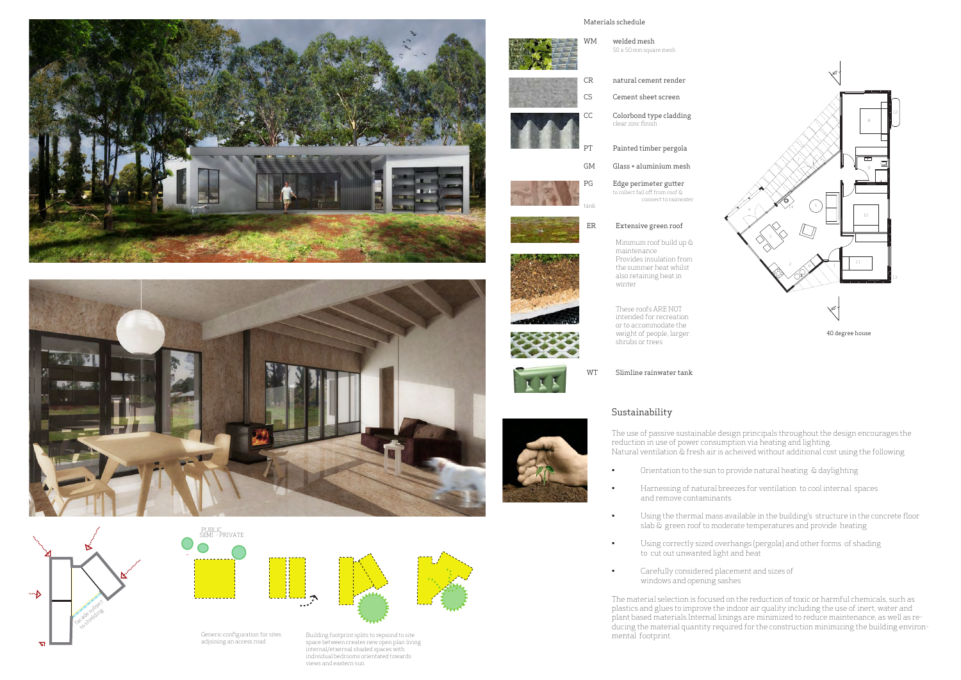

• Orientation to the sun to provide natural heating & daylighting

 $\bullet$   $\blacksquare$  Harnessing of natural breezes for ventilation to cool internal spaces

Minimum roof build up & Provides insulation from the summer heat whilst also retaining heat in









intended for recreation or to accommodate the weight of people, larger shrubs or trees

# WM welded mesh 50 x 50 mm square mesh CR natural cement render ER Extensive green roof maintenance winter Painted timber pergola CC Colorbond type cladding clear zinc finish CS Cement sheet screen GM Glass + aluminium mesh PG Edge perimeter gutter to collect fall off from roof & tank Materials schedule



 $\bullet$   $\blacksquare$  Using the thermal mass available in the building's  $\,$  structure in the concrete floor  $\,$ slab & green roof to moderate temperatures and provide heating

 $\bullet$   $\qquad$  Using correctly sized overhangs (pergola) and other forms of shading

connect to rainwater







Generic configuration for sites adjoining an access road

Building footprint splits to repsond to site space between creates new open plan living internal/etxernal shaded spaces with individual bedrooms orientated towards views and eastern sun







## Sustainability

The use of passive sustainable design principals throughout the design encourages the reduction in use of power consumption via heating and lighting. Natural ventilation & fresh air is acheived without additional cost using the following

- 
- and remove contaminants
- 
- to cut out unwanted light and heat
- • Carefully considered placement and sizes of windows and opening sashes

The material selection is focused on the reduction of toxic or harmful chemicals, such as plastics and glues to improve the indoor air quality including the use of inert, water and plant based materials.Internal linings are minimized to reduce maintenance, as well as reducing the material quantity required for the construction minimizing the building environ-

mental footprint.